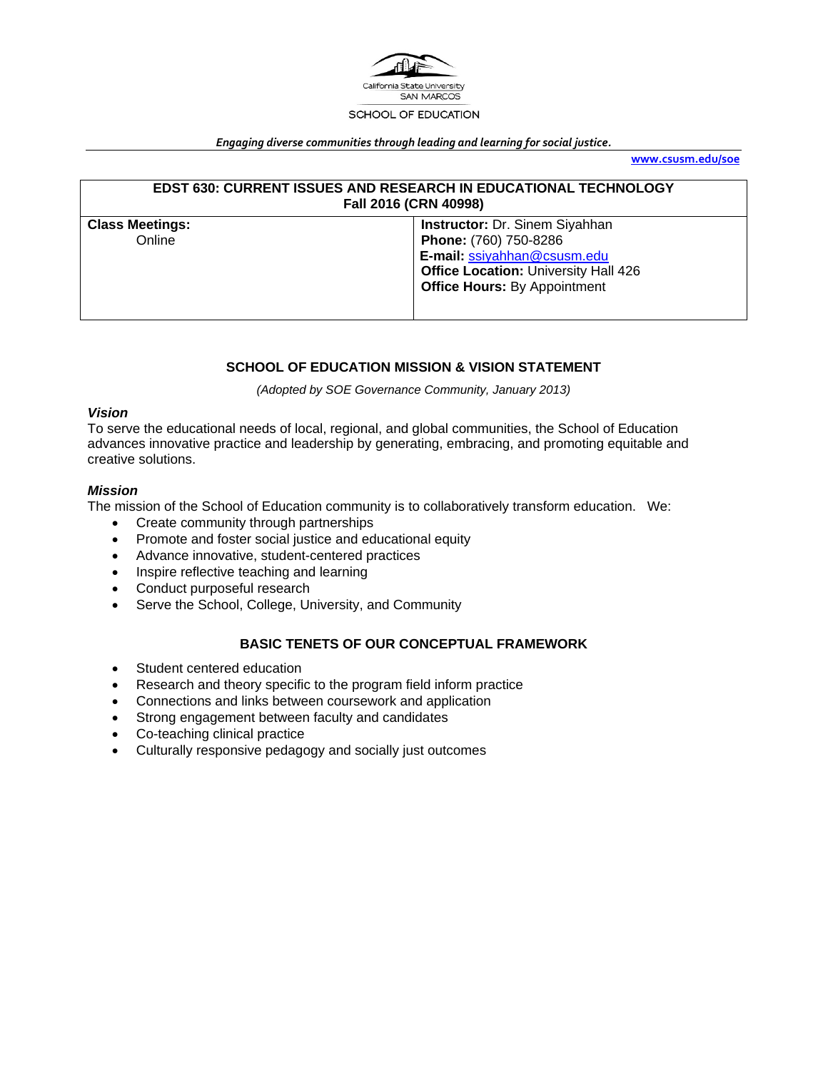

#### *Engaging diverse communities through leading and learning for social justice.*

**www.csusm.edu/soe**

| <b>EDST 630: CURRENT ISSUES AND RESEARCH IN EDUCATIONAL TECHNOLOGY</b><br>Fall 2016 (CRN 40998) |                                             |  |
|-------------------------------------------------------------------------------------------------|---------------------------------------------|--|
| <b>Instructor: Dr. Sinem Siyahhan</b><br><b>Class Meetings:</b>                                 |                                             |  |
| Online                                                                                          | Phone: (760) 750-8286                       |  |
|                                                                                                 | E-mail: ssiyahhan@csusm.edu                 |  |
|                                                                                                 | <b>Office Location: University Hall 426</b> |  |
|                                                                                                 | <b>Office Hours: By Appointment</b>         |  |
|                                                                                                 |                                             |  |

## **SCHOOL OF EDUCATION MISSION & VISION STATEMENT**

*(Adopted by SOE Governance Community, January 2013)* 

#### *Vision*

To serve the educational needs of local, regional, and global communities, the School of Education advances innovative practice and leadership by generating, embracing, and promoting equitable and creative solutions.

## *Mission*

The mission of the School of Education community is to collaboratively transform education. We:

- Create community through partnerships
- Promote and foster social justice and educational equity
- Advance innovative, student-centered practices
- Inspire reflective teaching and learning
- Conduct purposeful research
- Serve the School, College, University, and Community

## **BASIC TENETS OF OUR CONCEPTUAL FRAMEWORK**

- Student centered education
- Research and theory specific to the program field inform practice
- Connections and links between coursework and application
- Strong engagement between faculty and candidates
- Co-teaching clinical practice
- Culturally responsive pedagogy and socially just outcomes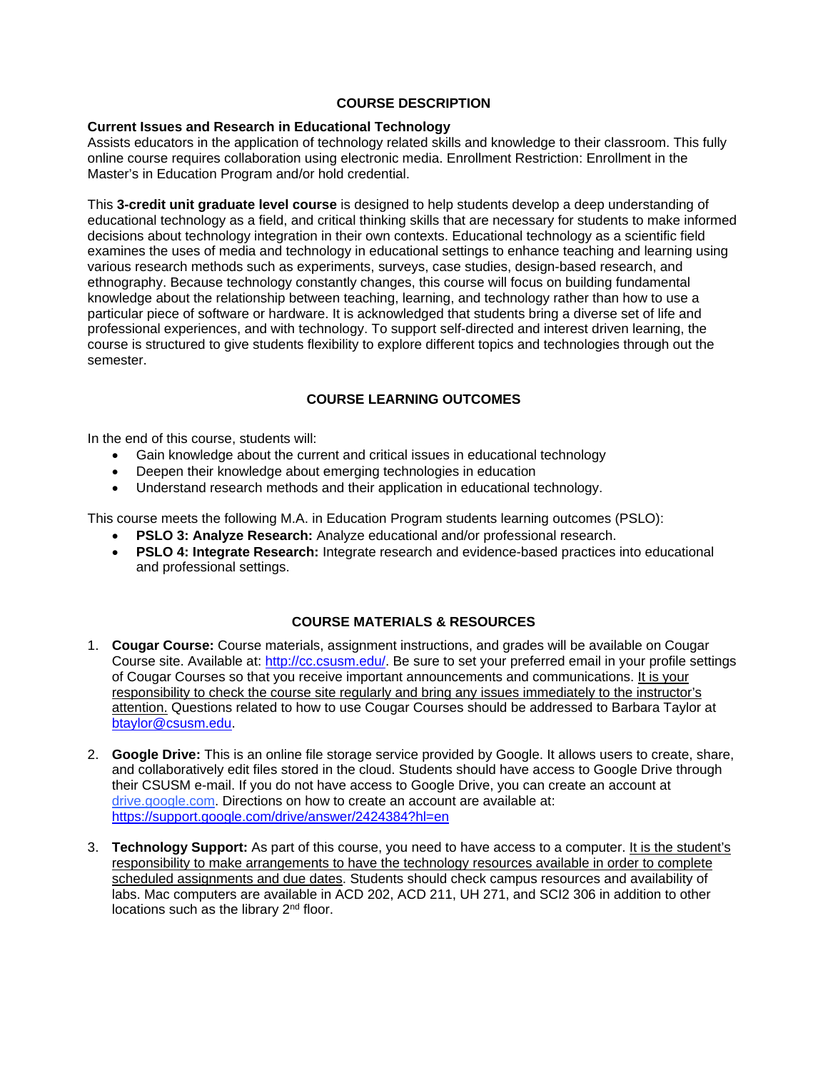### **COURSE DESCRIPTION**

#### **Current Issues and Research in Educational Technology**

Assists educators in the application of technology related skills and knowledge to their classroom. This fully online course requires collaboration using electronic media. Enrollment Restriction: Enrollment in the Master's in Education Program and/or hold credential.

This **3-credit unit graduate level course** is designed to help students develop a deep understanding of educational technology as a field, and critical thinking skills that are necessary for students to make informed decisions about technology integration in their own contexts. Educational technology as a scientific field examines the uses of media and technology in educational settings to enhance teaching and learning using various research methods such as experiments, surveys, case studies, design-based research, and ethnography. Because technology constantly changes, this course will focus on building fundamental knowledge about the relationship between teaching, learning, and technology rather than how to use a particular piece of software or hardware. It is acknowledged that students bring a diverse set of life and professional experiences, and with technology. To support self-directed and interest driven learning, the course is structured to give students flexibility to explore different topics and technologies through out the semester.

## **COURSE LEARNING OUTCOMES**

In the end of this course, students will:

- Gain knowledge about the current and critical issues in educational technology
- Deepen their knowledge about emerging technologies in education
- Understand research methods and their application in educational technology.

This course meets the following M.A. in Education Program students learning outcomes (PSLO):

- **PSLO 3: Analyze Research:** Analyze educational and/or professional research.
- **PSLO 4: Integrate Research:** Integrate research and evidence-based practices into educational and professional settings.

## **COURSE MATERIALS & RESOURCES**

- 1. **Cougar Course:** Course materials, assignment instructions, and grades will be available on Cougar Course site. Available at: http://cc.csusm.edu/. Be sure to set your preferred email in your profile settings of Cougar Courses so that you receive important announcements and communications. It is your responsibility to check the course site regularly and bring any issues immediately to the instructor's attention. Questions related to how to use Cougar Courses should be addressed to Barbara Taylor at btaylor@csusm.edu.
- 2. **Google Drive:** This is an online file storage service provided by Google. It allows users to create, share, and collaboratively edit files stored in the cloud. Students should have access to Google Drive through their CSUSM e-mail. If you do not have access to Google Drive, you can create an account at drive.google.com. Directions on how to create an account are available at: https://support.google.com/drive/answer/2424384?hl=en
- 3. **Technology Support:** As part of this course, you need to have access to a computer. It is the student's responsibility to make arrangements to have the technology resources available in order to complete scheduled assignments and due dates. Students should check campus resources and availability of labs. Mac computers are available in ACD 202, ACD 211, UH 271, and SCI2 306 in addition to other locations such as the library 2<sup>nd</sup> floor.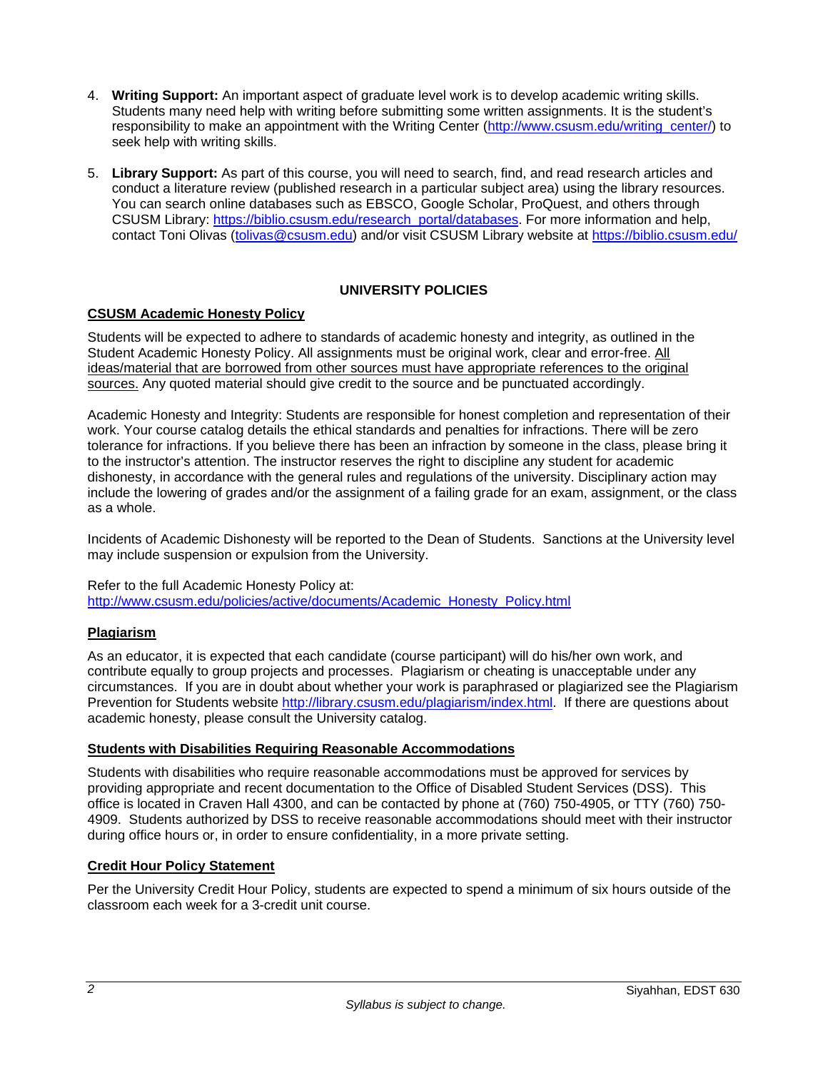- 4. **Writing Support:** An important aspect of graduate level work is to develop academic writing skills. Students many need help with writing before submitting some written assignments. It is the student's responsibility to make an appointment with the Writing Center (http://www.csusm.edu/writing\_center/) to seek help with writing skills.
- 5. **Library Support:** As part of this course, you will need to search, find, and read research articles and conduct a literature review (published research in a particular subject area) using the library resources. You can search online databases such as EBSCO, Google Scholar, ProQuest, and others through CSUSM Library: https://biblio.csusm.edu/research\_portal/databases. For more information and help, contact Toni Olivas (tolivas@csusm.edu) and/or visit CSUSM Library website at https://biblio.csusm.edu/

## **UNIVERSITY POLICIES**

## **CSUSM Academic Honesty Policy**

Students will be expected to adhere to standards of academic honesty and integrity, as outlined in the Student Academic Honesty Policy. All assignments must be original work, clear and error-free. All ideas/material that are borrowed from other sources must have appropriate references to the original sources. Any quoted material should give credit to the source and be punctuated accordingly.

Academic Honesty and Integrity: Students are responsible for honest completion and representation of their work. Your course catalog details the ethical standards and penalties for infractions. There will be zero tolerance for infractions. If you believe there has been an infraction by someone in the class, please bring it to the instructor's attention. The instructor reserves the right to discipline any student for academic dishonesty, in accordance with the general rules and regulations of the university. Disciplinary action may include the lowering of grades and/or the assignment of a failing grade for an exam, assignment, or the class as a whole.

Incidents of Academic Dishonesty will be reported to the Dean of Students. Sanctions at the University level may include suspension or expulsion from the University.

Refer to the full Academic Honesty Policy at: http://www.csusm.edu/policies/active/documents/Academic\_Honesty\_Policy.html

## **Plagiarism**

As an educator, it is expected that each candidate (course participant) will do his/her own work, and contribute equally to group projects and processes. Plagiarism or cheating is unacceptable under any circumstances. If you are in doubt about whether your work is paraphrased or plagiarized see the Plagiarism Prevention for Students website http://library.csusm.edu/plagiarism/index.html. If there are questions about academic honesty, please consult the University catalog.

#### **Students with Disabilities Requiring Reasonable Accommodations**

Students with disabilities who require reasonable accommodations must be approved for services by providing appropriate and recent documentation to the Office of Disabled Student Services (DSS). This office is located in Craven Hall 4300, and can be contacted by phone at (760) 750-4905, or TTY (760) 750- 4909. Students authorized by DSS to receive reasonable accommodations should meet with their instructor during office hours or, in order to ensure confidentiality, in a more private setting.

## **Credit Hour Policy Statement**

Per the University Credit Hour Policy, students are expected to spend a minimum of six hours outside of the classroom each week for a 3-credit unit course.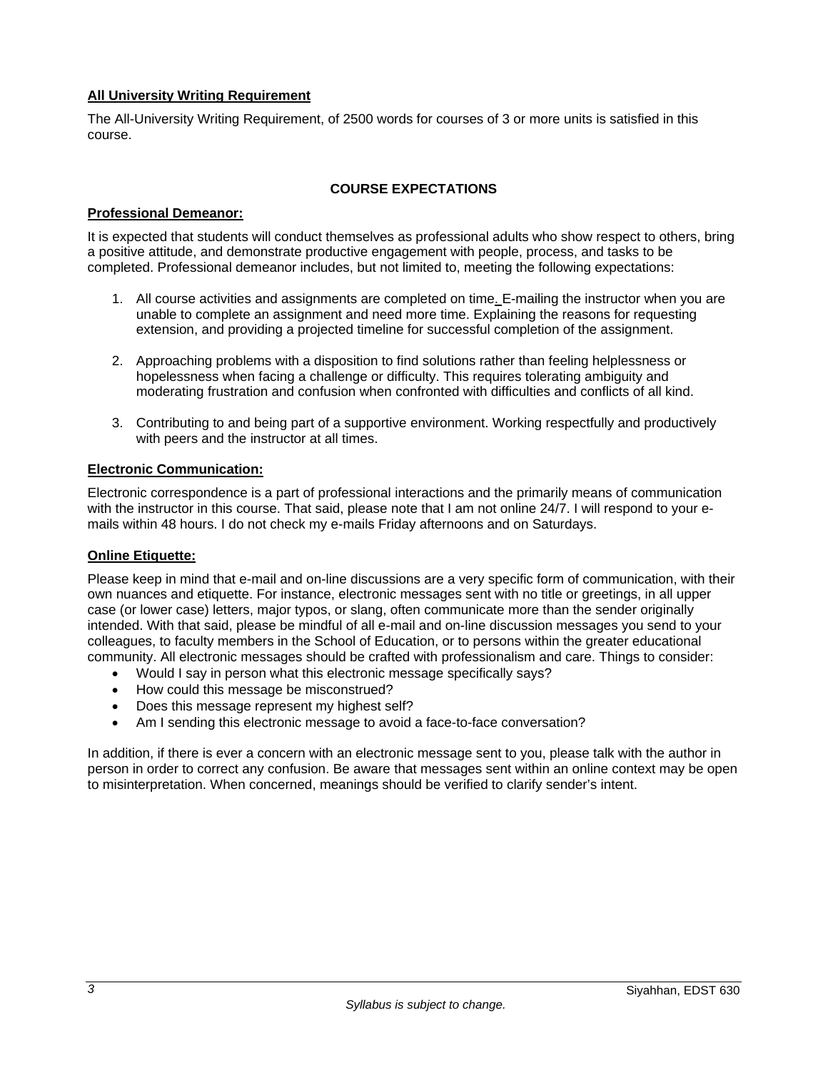## **All University Writing Requirement**

The All-University Writing Requirement, of 2500 words for courses of 3 or more units is satisfied in this course.

## **COURSE EXPECTATIONS**

### **Professional Demeanor:**

It is expected that students will conduct themselves as professional adults who show respect to others, bring a positive attitude, and demonstrate productive engagement with people, process, and tasks to be completed. Professional demeanor includes, but not limited to, meeting the following expectations:

- 1. All course activities and assignments are completed on time. E-mailing the instructor when you are unable to complete an assignment and need more time. Explaining the reasons for requesting extension, and providing a projected timeline for successful completion of the assignment.
- 2. Approaching problems with a disposition to find solutions rather than feeling helplessness or hopelessness when facing a challenge or difficulty. This requires tolerating ambiguity and moderating frustration and confusion when confronted with difficulties and conflicts of all kind.
- 3. Contributing to and being part of a supportive environment. Working respectfully and productively with peers and the instructor at all times.

### **Electronic Communication:**

Electronic correspondence is a part of professional interactions and the primarily means of communication with the instructor in this course. That said, please note that I am not online 24/7. I will respond to your emails within 48 hours. I do not check my e-mails Friday afternoons and on Saturdays.

## **Online Etiquette:**

Please keep in mind that e-mail and on-line discussions are a very specific form of communication, with their own nuances and etiquette. For instance, electronic messages sent with no title or greetings, in all upper case (or lower case) letters, major typos, or slang, often communicate more than the sender originally intended. With that said, please be mindful of all e-mail and on-line discussion messages you send to your colleagues, to faculty members in the School of Education, or to persons within the greater educational community. All electronic messages should be crafted with professionalism and care. Things to consider:

- Would I say in person what this electronic message specifically says?
- How could this message be misconstrued?
- Does this message represent my highest self?
- Am I sending this electronic message to avoid a face-to-face conversation?

In addition, if there is ever a concern with an electronic message sent to you, please talk with the author in person in order to correct any confusion. Be aware that messages sent within an online context may be open to misinterpretation. When concerned, meanings should be verified to clarify sender's intent.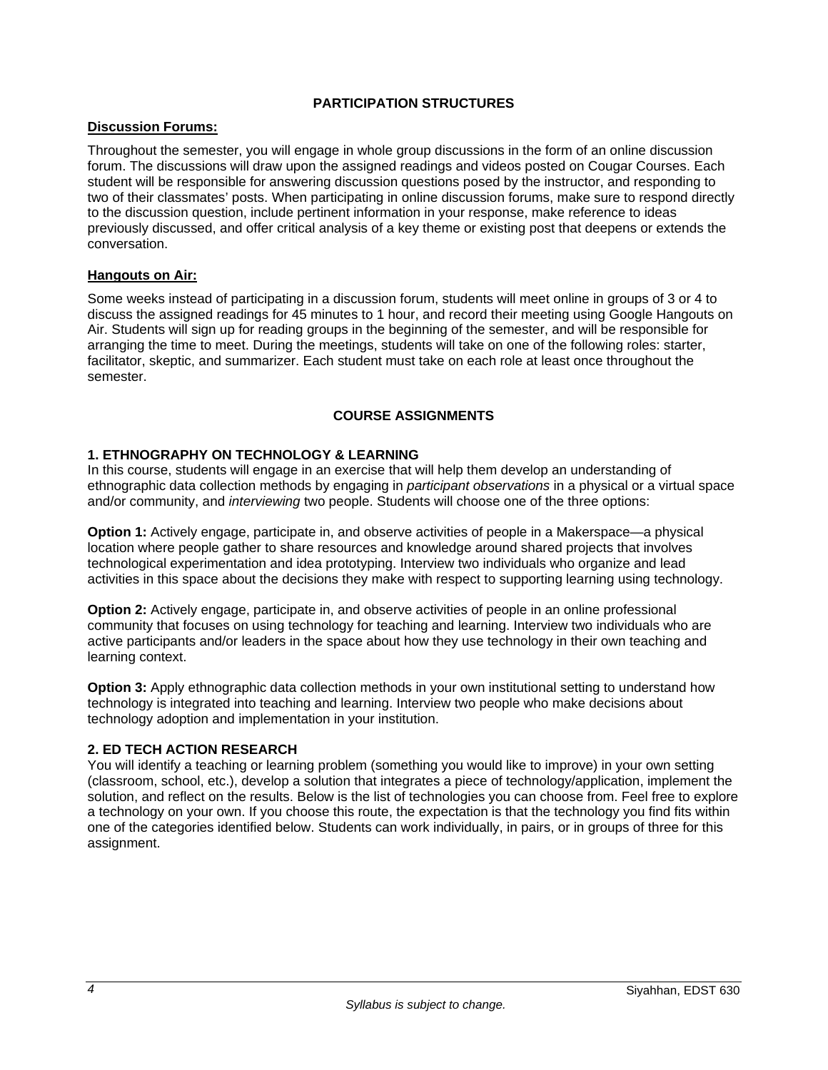## **PARTICIPATION STRUCTURES**

## **Discussion Forums:**

Throughout the semester, you will engage in whole group discussions in the form of an online discussion forum. The discussions will draw upon the assigned readings and videos posted on Cougar Courses. Each student will be responsible for answering discussion questions posed by the instructor, and responding to two of their classmates' posts. When participating in online discussion forums, make sure to respond directly to the discussion question, include pertinent information in your response, make reference to ideas previously discussed, and offer critical analysis of a key theme or existing post that deepens or extends the conversation.

### **Hangouts on Air:**

Some weeks instead of participating in a discussion forum, students will meet online in groups of 3 or 4 to discuss the assigned readings for 45 minutes to 1 hour, and record their meeting using Google Hangouts on Air. Students will sign up for reading groups in the beginning of the semester, and will be responsible for arranging the time to meet. During the meetings, students will take on one of the following roles: starter, facilitator, skeptic, and summarizer. Each student must take on each role at least once throughout the semester.

## **COURSE ASSIGNMENTS**

## **1. ETHNOGRAPHY ON TECHNOLOGY & LEARNING**

In this course, students will engage in an exercise that will help them develop an understanding of ethnographic data collection methods by engaging in *participant observations* in a physical or a virtual space and/or community, and *interviewing* two people. Students will choose one of the three options:

**Option 1:** Actively engage, participate in, and observe activities of people in a Makerspace—a physical location where people gather to share resources and knowledge around shared projects that involves technological experimentation and idea prototyping. Interview two individuals who organize and lead activities in this space about the decisions they make with respect to supporting learning using technology.

**Option 2:** Actively engage, participate in, and observe activities of people in an online professional community that focuses on using technology for teaching and learning. Interview two individuals who are active participants and/or leaders in the space about how they use technology in their own teaching and learning context.

**Option 3:** Apply ethnographic data collection methods in your own institutional setting to understand how technology is integrated into teaching and learning. Interview two people who make decisions about technology adoption and implementation in your institution.

## **2. ED TECH ACTION RESEARCH**

You will identify a teaching or learning problem (something you would like to improve) in your own setting (classroom, school, etc.), develop a solution that integrates a piece of technology/application, implement the solution, and reflect on the results. Below is the list of technologies you can choose from. Feel free to explore a technology on your own. If you choose this route, the expectation is that the technology you find fits within one of the categories identified below. Students can work individually, in pairs, or in groups of three for this assignment.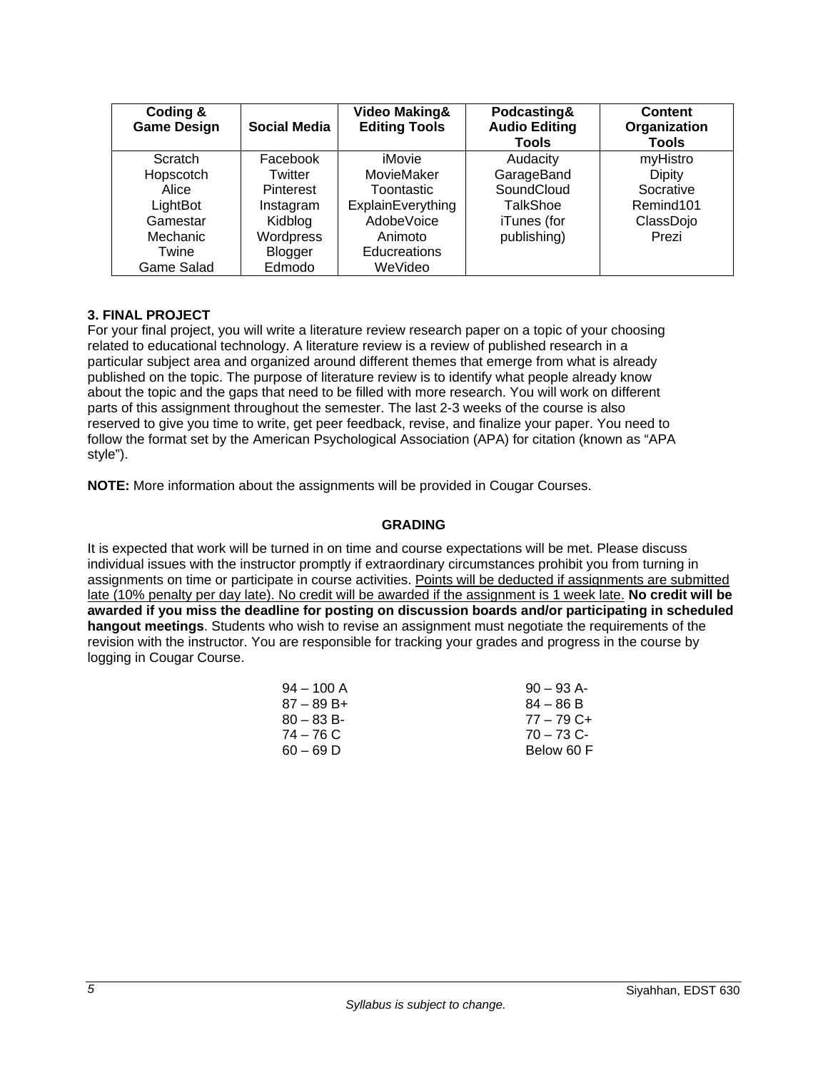| Coding &<br><b>Game Design</b> | Social Media | <b>Video Making&amp;</b><br><b>Editing Tools</b> | Podcasting&<br><b>Audio Editing</b><br>Tools | <b>Content</b><br>Organization<br>Tools |
|--------------------------------|--------------|--------------------------------------------------|----------------------------------------------|-----------------------------------------|
| <b>Scratch</b>                 | Facebook     | iMovie                                           | Audacity                                     | myHistro                                |
| Hopscotch                      | Twitter      | MovieMaker                                       | GarageBand                                   | <b>Dipity</b>                           |
| Alice                          | Pinterest    | Toontastic                                       | SoundCloud                                   | Socrative                               |
| LightBot                       | Instagram    | ExplainEverything                                | TalkShoe                                     | Remind <sub>101</sub>                   |
| Gamestar                       | Kidblog      | <b>AdobeVoice</b>                                | iTunes (for                                  | ClassDojo                               |
| Mechanic                       | Wordpress    | Animoto                                          | publishing)                                  | Prezi                                   |
| Twine                          | Blogger      | Educreations                                     |                                              |                                         |
| Game Salad                     | Edmodo       | WeVideo                                          |                                              |                                         |

## **3. FINAL PROJECT**

For your final project, you will write a literature review research paper on a topic of your choosing related to educational technology. A literature review is a review of published research in a particular subject area and organized around different themes that emerge from what is already published on the topic. The purpose of literature review is to identify what people already know about the topic and the gaps that need to be filled with more research. You will work on different parts of this assignment throughout the semester. The last 2-3 weeks of the course is also reserved to give you time to write, get peer feedback, revise, and finalize your paper. You need to follow the format set by the American Psychological Association (APA) for citation (known as "APA style").

**NOTE:** More information about the assignments will be provided in Cougar Courses.

## **GRADING**

It is expected that work will be turned in on time and course expectations will be met. Please discuss individual issues with the instructor promptly if extraordinary circumstances prohibit you from turning in assignments on time or participate in course activities. Points will be deducted if assignments are submitted late (10% penalty per day late). No credit will be awarded if the assignment is 1 week late. **No credit will be awarded if you miss the deadline for posting on discussion boards and/or participating in scheduled hangout meetings**. Students who wish to revise an assignment must negotiate the requirements of the revision with the instructor. You are responsible for tracking your grades and progress in the course by logging in Cougar Course.

| $90 - 93$ A- |
|--------------|
| $84 - 86 B$  |
| $77 - 79$ C+ |
| $70 - 73$ C- |
| Below 60 F   |
|              |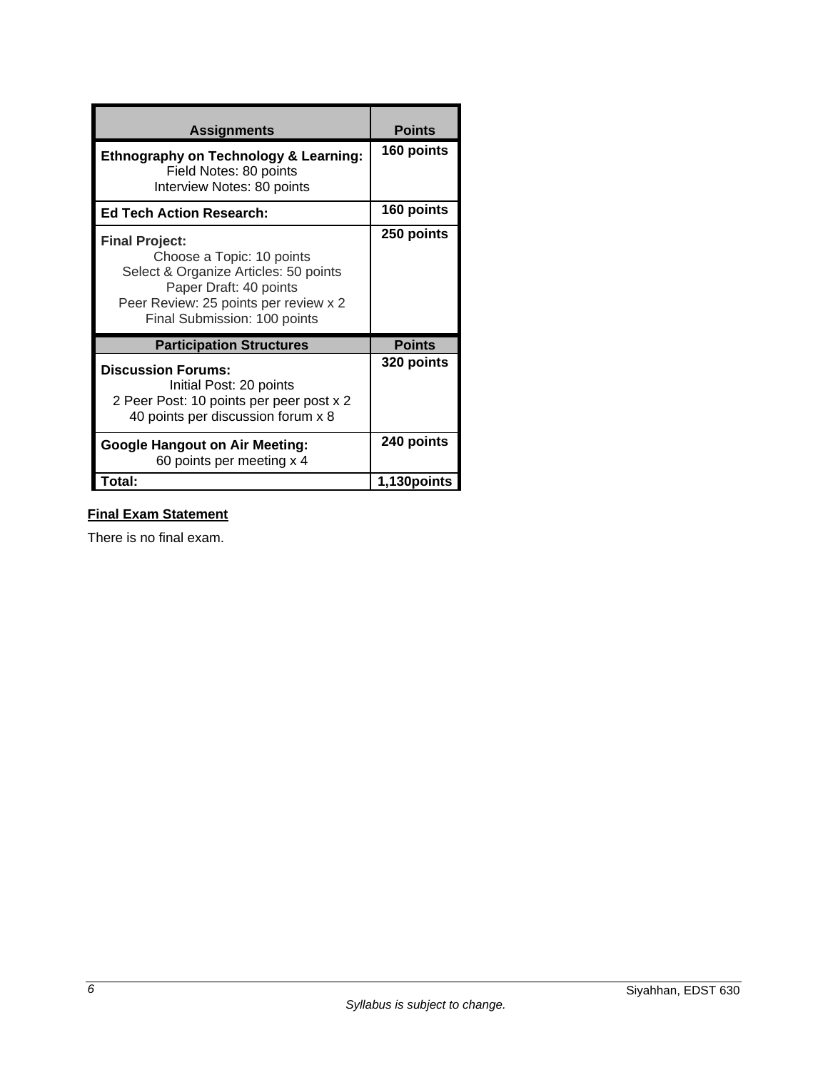| <b>Assignments</b>                                                                                                                                                                             | <b>Points</b> |
|------------------------------------------------------------------------------------------------------------------------------------------------------------------------------------------------|---------------|
| <b>Ethnography on Technology &amp; Learning:</b><br>Field Notes: 80 points<br>Interview Notes: 80 points                                                                                       | 160 points    |
| <b>Ed Tech Action Research:</b>                                                                                                                                                                | 160 points    |
| <b>Final Project:</b><br>Choose a Topic: 10 points<br>Select & Organize Articles: 50 points<br>Paper Draft: 40 points<br>Peer Review: 25 points per review x 2<br>Final Submission: 100 points | 250 points    |
| <b>Participation Structures</b>                                                                                                                                                                | <b>Points</b> |
| <b>Discussion Forums:</b><br>Initial Post: 20 points<br>2 Peer Post: 10 points per peer post x 2<br>40 points per discussion forum x 8                                                         | 320 points    |
| <b>Google Hangout on Air Meeting:</b><br>60 points per meeting x 4                                                                                                                             | 240 points    |
| Total:                                                                                                                                                                                         | 1,130 points  |

# **Final Exam Statement**

There is no final exam.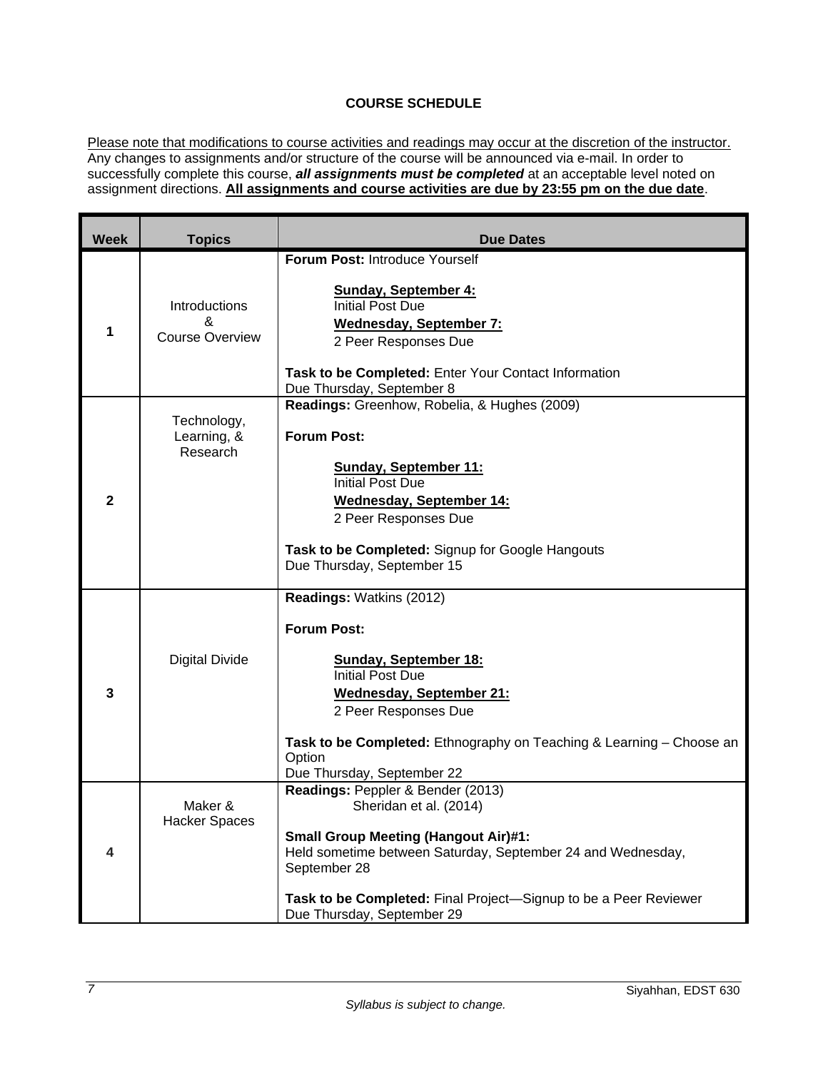## **COURSE SCHEDULE**

Please note that modifications to course activities and readings may occur at the discretion of the instructor. Any changes to assignments and/or structure of the course will be announced via e-mail. In order to successfully complete this course, *all assignments must be completed* at an acceptable level noted on assignment directions. **All assignments and course activities are due by 23:55 pm on the due date**.

| <b>Week</b>    | <b>Topics</b>                                | <b>Due Dates</b>                                                                                                                                                                               |
|----------------|----------------------------------------------|------------------------------------------------------------------------------------------------------------------------------------------------------------------------------------------------|
|                |                                              | Forum Post: Introduce Yourself                                                                                                                                                                 |
| 1              | Introductions<br>&<br><b>Course Overview</b> | <b>Sunday, September 4:</b><br><b>Initial Post Due</b><br>Wednesday, September 7:<br>2 Peer Responses Due<br>Task to be Completed: Enter Your Contact Information<br>Due Thursday, September 8 |
|                |                                              | Readings: Greenhow, Robelia, & Hughes (2009)                                                                                                                                                   |
|                | Technology,<br>Learning, &<br>Research       | <b>Forum Post:</b>                                                                                                                                                                             |
|                |                                              | <b>Sunday, September 11:</b><br><b>Initial Post Due</b>                                                                                                                                        |
| $\overline{2}$ |                                              | Wednesday, September 14:                                                                                                                                                                       |
|                |                                              | 2 Peer Responses Due                                                                                                                                                                           |
|                |                                              |                                                                                                                                                                                                |
|                |                                              | Task to be Completed: Signup for Google Hangouts<br>Due Thursday, September 15                                                                                                                 |
|                |                                              |                                                                                                                                                                                                |
|                |                                              | Readings: Watkins (2012)                                                                                                                                                                       |
|                |                                              | <b>Forum Post:</b>                                                                                                                                                                             |
|                | <b>Digital Divide</b>                        | <b>Sunday, September 18:</b><br><b>Initial Post Due</b>                                                                                                                                        |
| 3              |                                              | Wednesday, September 21:                                                                                                                                                                       |
|                |                                              | 2 Peer Responses Due                                                                                                                                                                           |
|                |                                              | Task to be Completed: Ethnography on Teaching & Learning - Choose an<br>Option                                                                                                                 |
|                |                                              | Due Thursday, September 22                                                                                                                                                                     |
| 4              | Maker &                                      | Readings: Peppler & Bender (2013)<br>Sheridan et al. (2014)                                                                                                                                    |
|                | <b>Hacker Spaces</b>                         |                                                                                                                                                                                                |
|                |                                              | <b>Small Group Meeting (Hangout Air)#1:</b>                                                                                                                                                    |
|                |                                              | Held sometime between Saturday, September 24 and Wednesday,<br>September 28                                                                                                                    |
|                |                                              | Task to be Completed: Final Project-Signup to be a Peer Reviewer                                                                                                                               |
|                |                                              | Due Thursday, September 29                                                                                                                                                                     |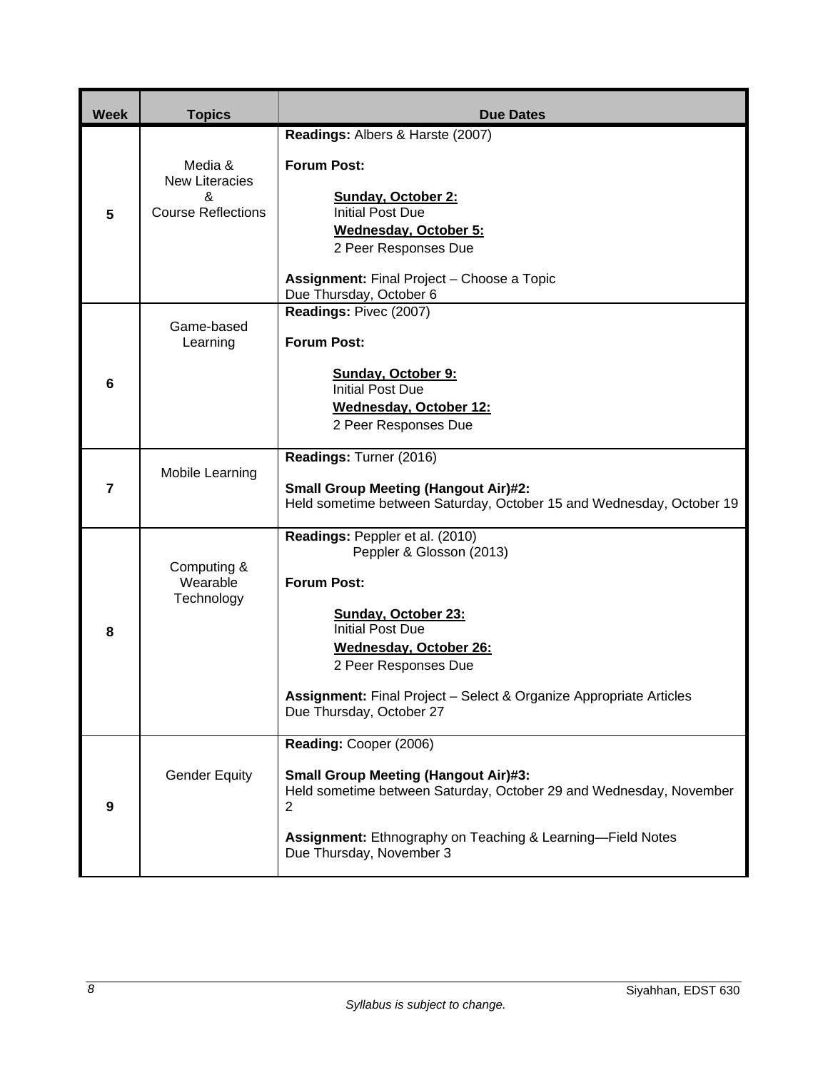| <b>Week</b>             | <b>Topics</b>                                                      | <b>Due Dates</b>                                                                                                                               |
|-------------------------|--------------------------------------------------------------------|------------------------------------------------------------------------------------------------------------------------------------------------|
|                         |                                                                    | Readings: Albers & Harste (2007)                                                                                                               |
| 5                       | Media &<br><b>New Literacies</b><br>&<br><b>Course Reflections</b> | <b>Forum Post:</b><br>Sunday, October 2:<br><b>Initial Post Due</b><br>Wednesday, October 5:<br>2 Peer Responses Due                           |
|                         |                                                                    | Assignment: Final Project - Choose a Topic                                                                                                     |
|                         |                                                                    | Due Thursday, October 6<br>Readings: Pivec (2007)                                                                                              |
|                         | Game-based<br>Learning                                             | <b>Forum Post:</b>                                                                                                                             |
| $6\phantom{1}6$         |                                                                    | <b>Sunday, October 9:</b><br><b>Initial Post Due</b>                                                                                           |
|                         |                                                                    | <b>Wednesday, October 12:</b>                                                                                                                  |
|                         |                                                                    | 2 Peer Responses Due                                                                                                                           |
| $\overline{\mathbf{r}}$ | Mobile Learning                                                    | Readings: Turner (2016)<br><b>Small Group Meeting (Hangout Air)#2:</b><br>Held sometime between Saturday, October 15 and Wednesday, October 19 |
|                         |                                                                    | Readings: Peppler et al. (2010)<br>Peppler & Glosson (2013)                                                                                    |
|                         | Computing &<br>Wearable<br>Technology                              | <b>Forum Post:</b>                                                                                                                             |
|                         |                                                                    | <b>Sunday, October 23:</b><br><b>Initial Post Due</b>                                                                                          |
| 8                       |                                                                    | <b>Wednesday, October 26:</b><br>2 Peer Responses Due                                                                                          |
|                         |                                                                    | Assignment: Final Project - Select & Organize Appropriate Articles<br>Due Thursday, October 27                                                 |
|                         |                                                                    | Reading: Cooper (2006)                                                                                                                         |
| $\boldsymbol{9}$        | <b>Gender Equity</b>                                               | <b>Small Group Meeting (Hangout Air)#3:</b><br>Held sometime between Saturday, October 29 and Wednesday, November<br>$\overline{c}$            |
|                         |                                                                    | Assignment: Ethnography on Teaching & Learning-Field Notes<br>Due Thursday, November 3                                                         |